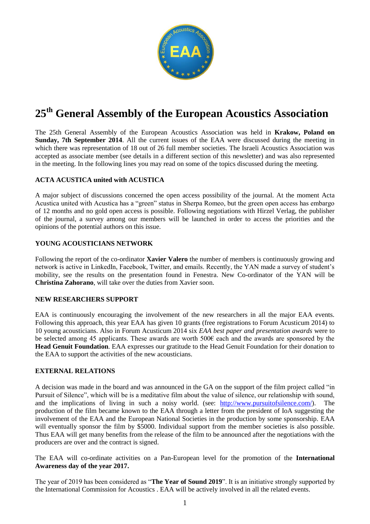

# **25 th General Assembly of the European Acoustics Association**

The 25th General Assembly of the European Acoustics Association was held in **Krakow, Poland on Sunday, 7th September 2014**. All the current issues of the EAA were discussed during the meeting in which there was representation of 18 out of 26 full member societies. The Israeli Acoustics Association was accepted as associate member (see details in a different section of this newsletter) and was also represented in the meeting. In the following lines you may read on some of the topics discussed during the meeting.

## **ACTA ACUSTICA united with ACUSTICA**

A major subject of discussions concerned the open access possibility of the journal. At the moment Acta Acustica united with Acustica has a "green" status in Sherpa Romeo, but the green open access has embargo of 12 months and no gold open access is possible. Following negotiations with Hirzel Verlag, the publisher of the journal, a survey among our members will be launched in order to access the priorities and the opinions of the potential authors on this issue.

## **YOUNG ACOUSTICIANS NETWORK**

Following the report of the co-ordinator **Xavier Valero** the number of members is continuously growing and network is active in LinkedIn, Facebook, Twitter, and emails. Recently, the YAN made a survey of student's mobility, see the results on the presentation found in Fenestra. New Co-ordinator of the YAN will be **Christina Zahorano**, will take over the duties from Xavier soon.

#### **NEW RESEARCHERS SUPPORT**

EAA is continuously encouraging the involvement of the new researchers in all the major EAA events. Following this approach, this year EAA has given 10 grants (free registrations to Forum Acusticum 2014) to 10 young acousticians. Also in Forum Acusticum 2014 six *EAA best paper and presentation awards* were to be selected among 45 applicants. These awards are worth 500€ each and the awards are sponsored by the **Head Genuit Foundation**. EAA expresses our gratitude to the Head Genuit Foundation for their donation to the EAA to support the activities of the new acousticians.

#### **EXTERNAL RELATIONS**

A decision was made in the board and was announced in the GA on the support of the film project called "in Pursuit of Silence", which will be is a meditative film about the value of silence, our relationship with sound, and the implications of living in such a noisy world. (see: [http://www.pursuitofsilence.com/\)](http://www.pursuitofsilence.com/). The production of the film became known to the EAA through a letter from the president of IoA suggesting the involvement of the EAA and the European National Societies in the production by some sponsorship. EAA will eventually sponsor the film by \$5000. Individual support from the member societies is also possible. Thus EAA will get many benefits from the release of the film to be announced after the negotiations with the producers are over and the contract is signed.

The EAA will co-ordinate activities on a Pan-European level for the promotion of the **International Awareness day of the year 2017.**

The year of 2019 has been considered as "**The Year of Sound 2019**". It is an initiative strongly supported by the International Commission for Acoustics . EAA will be actively involved in all the related events.